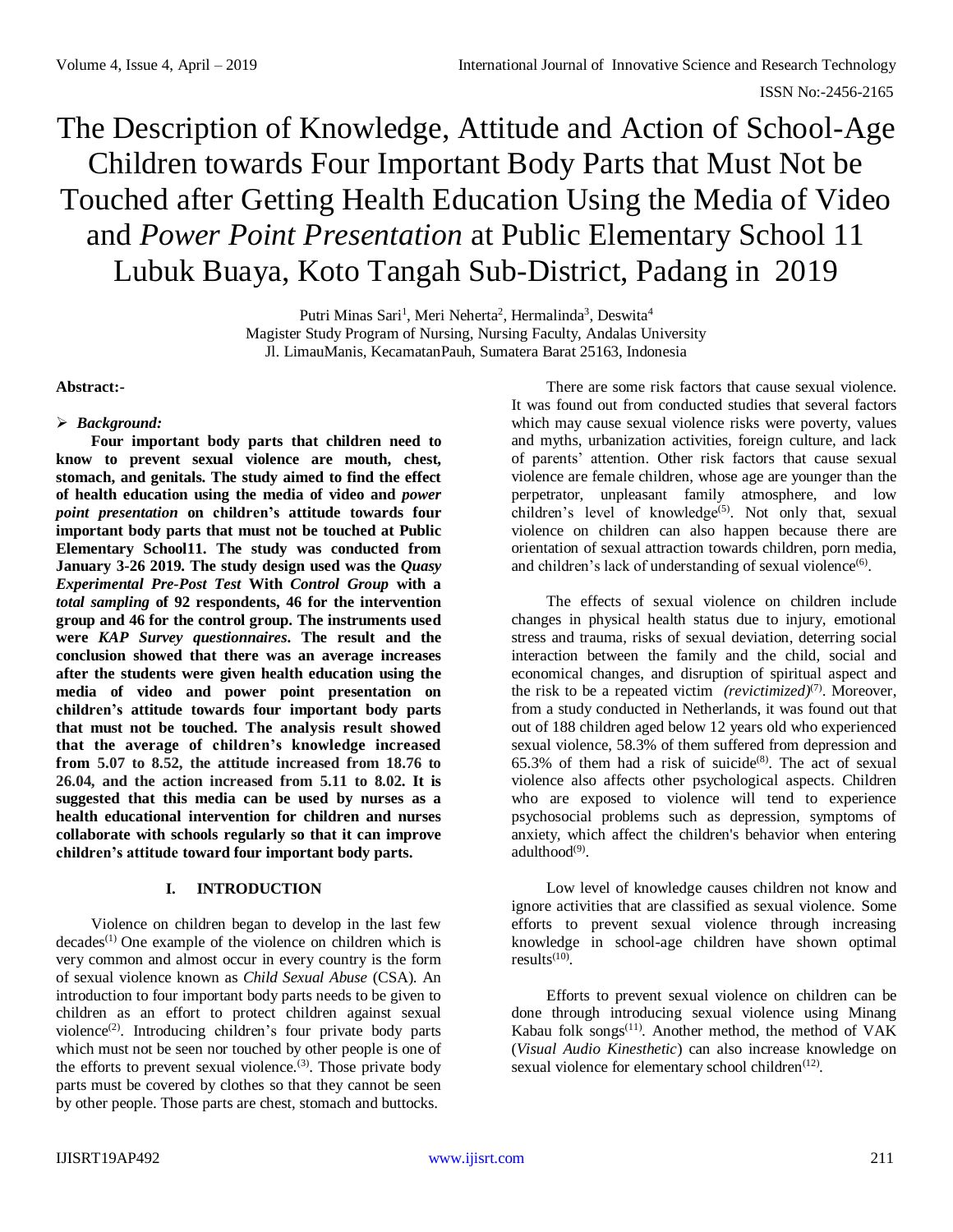# The Description of Knowledge, Attitude and Action of School-Age Children towards Four Important Body Parts that Must Not be Touched after Getting Health Education Using the Media of Video and *Power Point Presentation* at Public Elementary School 11 Lubuk Buaya, Koto Tangah Sub-District, Padang in 2019

Putri Minas Sari<sup>1</sup>, Meri Neherta<sup>2</sup>, Hermalinda<sup>3</sup>, Deswita<sup>4</sup> Magister Study Program of Nursing, Nursing Faculty, Andalas University Jl. LimauManis, KecamatanPauh, Sumatera Barat 25163, Indonesia

**Abstract:-**

# *Background:*

**Four important body parts that children need to know to prevent sexual violence are mouth, chest, stomach, and genitals. The study aimed to find the effect of health education using the media of video and** *power point presentation* **on children's attitude towards four important body parts that must not be touched at Public Elementary School11. The study was conducted from January 3-26 2019. The study design used was the** *Quasy Experimental Pre-Post Test* **With** *Control Group* **with a**  *total sampling* **of 92 respondents, 46 for the intervention group and 46 for the control group. The instruments used were** *KAP Survey questionnaires***. The result and the conclusion showed that there was an average increases after the students were given health education using the media of video and power point presentation on children's attitude towards four important body parts that must not be touched. The analysis result showed that the average of children's knowledge increased from 5.07 to 8.52, the attitude increased from 18.76 to 26.04, and the action increased from 5.11 to 8.02. It is suggested that this media can be used by nurses as a health educational intervention for children and nurses collaborate with schools regularly so that it can improve children's attitude toward four important body parts.**

# **I. INTRODUCTION**

Violence on children began to develop in the last few decades<sup>(1)</sup> One example of the violence on children which is very common and almost occur in every country is the form of sexual violence known as *Child Sexual Abuse* (CSA). An introduction to four important body parts needs to be given to children as an effort to protect children against sexual violence<sup>(2)</sup>. Introducing children's four private body parts which must not be seen nor touched by other people is one of the efforts to prevent sexual violence.<sup>(3)</sup>. Those private body parts must be covered by clothes so that they cannot be seen by other people. Those parts are chest, stomach and buttocks.

There are some risk factors that cause sexual violence. It was found out from conducted studies that several factors which may cause sexual violence risks were poverty, values and myths, urbanization activities, foreign culture, and lack of parents' attention. Other risk factors that cause sexual violence are female children, whose age are younger than the perpetrator, unpleasant family atmosphere, and low children's level of knowledge<sup>(5)</sup>. Not only that, sexual violence on children can also happen because there are orientation of sexual attraction towards children, porn media, and children's lack of understanding of sexual violence<sup>(6)</sup>.

The effects of sexual violence on children include changes in physical health status due to injury, emotional stress and trauma, risks of sexual deviation, deterring social interaction between the family and the child, social and economical changes, and disruption of spiritual aspect and the risk to be a repeated victim *(revictimized)*<sup>(7)</sup>. Moreover, from a study conducted in Netherlands, it was found out that out of 188 children aged below 12 years old who experienced sexual violence, 58.3% of them suffered from depression and  $65.3\%$  of them had a risk of suicide<sup>(8)</sup>. The act of sexual violence also affects other psychological aspects. Children who are exposed to violence will tend to experience psychosocial problems such as depression, symptoms of anxiety, which affect the children's behavior when entering adulthood<sup>(9)</sup>.

Low level of knowledge causes children not know and ignore activities that are classified as sexual violence. Some efforts to prevent sexual violence through increasing knowledge in school-age children have shown optimal  $results^{(10)}$ .

Efforts to prevent sexual violence on children can be done through introducing sexual violence using Minang Kabau folk songs<sup> $(11)$ </sup>. Another method, the method of VAK (*Visual Audio Kinesthetic*) can also increase knowledge on sexual violence for elementary school children $<sup>(12)</sup>$ .</sup>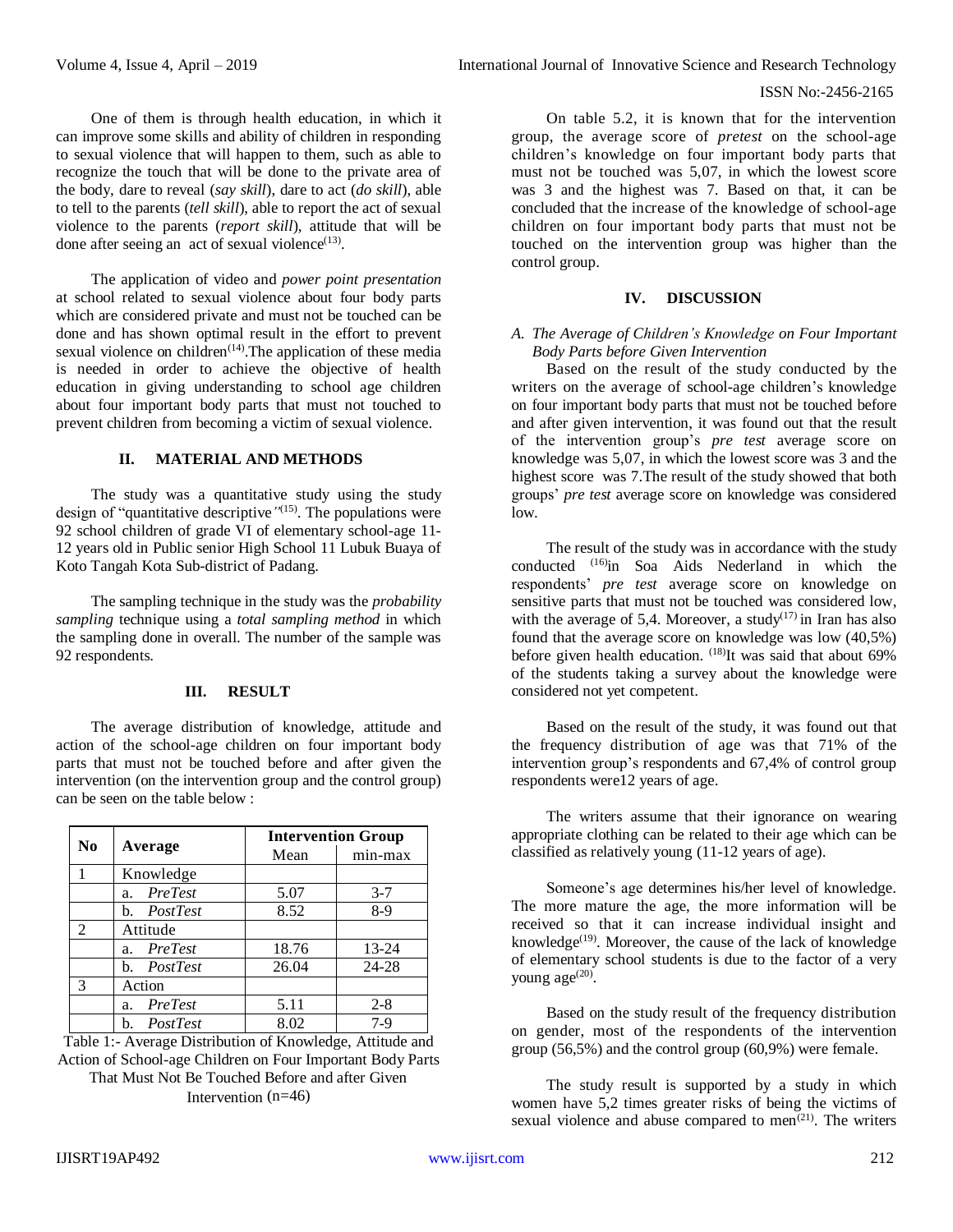#### ISSN No:-2456-2165

One of them is through health education, in which it can improve some skills and ability of children in responding to sexual violence that will happen to them, such as able to recognize the touch that will be done to the private area of the body, dare to reveal (*say skill*), dare to act (*do skill*), able to tell to the parents (*tell skill*), able to report the act of sexual violence to the parents (*report skill*), attitude that will be done after seeing an act of sexual violence $(13)$ .

The application of video and *power point presentation* at school related to sexual violence about four body parts which are considered private and must not be touched can be done and has shown optimal result in the effort to prevent sexual violence on children $(14)$ . The application of these media is needed in order to achieve the objective of health education in giving understanding to school age children about four important body parts that must not touched to prevent children from becoming a victim of sexual violence.

#### **II. MATERIAL AND METHODS**

The study was a quantitative study using the study design of "quantitative descriptive*"* (15) . The populations were 92 school children of grade VI of elementary school-age 11- 12 years old in Public senior High School 11 Lubuk Buaya of Koto Tangah Kota Sub-district of Padang.

The sampling technique in the study was the *probability sampling* technique using a *total sampling method* in which the sampling done in overall. The number of the sample was 92 respondents.

#### **III. RESULT**

The average distribution of knowledge, attitude and action of the school-age children on four important body parts that must not be touched before and after given the intervention (on the intervention group and the control group) can be seen on the table below :

| No             | Average                   | <b>Intervention Group</b> |         |
|----------------|---------------------------|---------------------------|---------|
|                |                           | Mean                      | min-max |
|                | Knowledge                 |                           |         |
|                | PreTest<br>a <sub>1</sub> | 5.07                      | $3 - 7$ |
|                | PostTest<br>b.            | 8.52                      | $8-9$   |
| $\mathfrak{D}$ | Attitude                  |                           |         |
|                | PreTest<br>a.             | 18.76                     | 13-24   |
|                | PostTest<br>b.            | 26.04                     | 24-28   |
| 3              | Action                    |                           |         |
|                | PreTest<br>a.             | 5.11                      | $2 - 8$ |
|                | PostTest                  | 8.02                      | 7-9     |

Table 1:- Average Distribution of Knowledge, Attitude and Action of School-age Children on Four Important Body Parts That Must Not Be Touched Before and after Given Intervention (n=46)

On table 5.2, it is known that for the intervention group, the average score of *pretest* on the school-age children's knowledge on four important body parts that must not be touched was 5,07, in which the lowest score was 3 and the highest was 7. Based on that, it can be concluded that the increase of the knowledge of school-age children on four important body parts that must not be touched on the intervention group was higher than the control group.

#### **IV. DISCUSSION**

# *A. The Average of Children's Knowledge on Four Important Body Parts before Given Intervention*

Based on the result of the study conducted by the writers on the average of school-age children's knowledge on four important body parts that must not be touched before and after given intervention, it was found out that the result of the intervention group's *pre test* average score on knowledge was 5,07, in which the lowest score was 3 and the highest score was 7.The result of the study showed that both groups' *pre test* average score on knowledge was considered low.

The result of the study was in accordance with the study conducted (16) in Soa Aids Nederland in which the respondents' *pre test* average score on knowledge on sensitive parts that must not be touched was considered low, with the average of 5,4. Moreover, a study $(17)$  in Iran has also found that the average score on knowledge was low (40,5%) before given health education. <sup>(18)</sup>It was said that about 69% of the students taking a survey about the knowledge were considered not yet competent.

Based on the result of the study, it was found out that the frequency distribution of age was that 71% of the intervention group's respondents and 67,4% of control group respondents were12 years of age.

The writers assume that their ignorance on wearing appropriate clothing can be related to their age which can be classified as relatively young (11-12 years of age).

Someone's age determines his/her level of knowledge. The more mature the age, the more information will be received so that it can increase individual insight and knowledge<sup>(19)</sup>. Moreover, the cause of the lack of knowledge of elementary school students is due to the factor of a very young  $age^{(20)}$ .

Based on the study result of the frequency distribution on gender, most of the respondents of the intervention group (56,5%) and the control group (60,9%) were female.

The study result is supported by a study in which women have 5,2 times greater risks of being the victims of sexual violence and abuse compared to men $(21)$ . The writers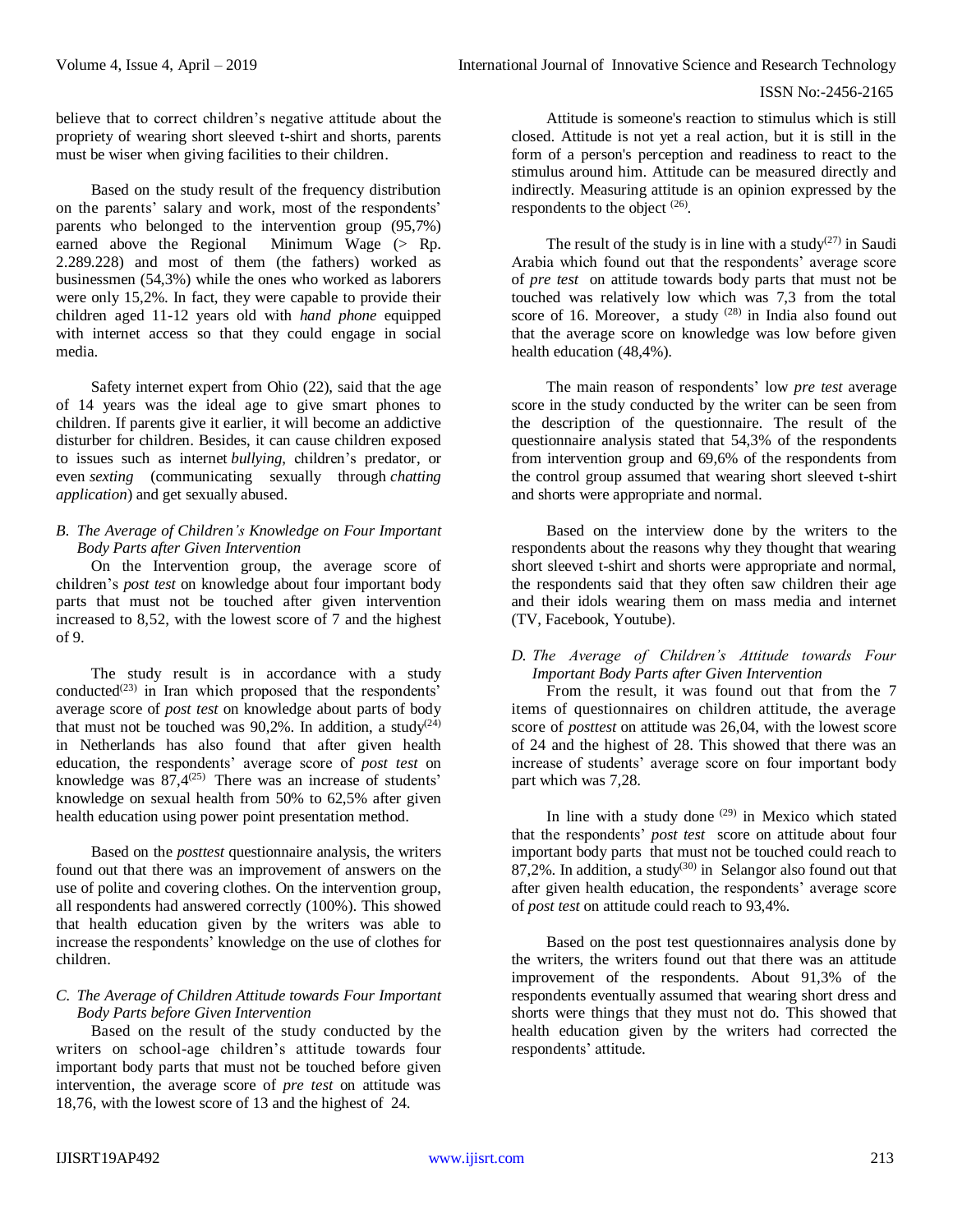#### ISSN No:-2456-2165

believe that to correct children's negative attitude about the propriety of wearing short sleeved t-shirt and shorts, parents must be wiser when giving facilities to their children.

Based on the study result of the frequency distribution on the parents' salary and work, most of the respondents' parents who belonged to the intervention group (95,7%) earned above the Regional Minimum Wage  $($  Rp. 2.289.228) and most of them (the fathers) worked as businessmen (54,3%) while the ones who worked as laborers were only 15,2%. In fact, they were capable to provide their children aged 11-12 years old with *hand phone* equipped with internet access so that they could engage in social media.

Safety internet expert from Ohio (22), said that the age of 14 years was the ideal age to give smart phones to children. If parents give it earlier, it will become an addictive disturber for children. Besides, it can cause children exposed to issues such as internet *bullying*, children's predator, or even *sexting* (communicating sexually through *chatting application*) and get sexually abused.

# *B. The Average of Children's Knowledge on Four Important Body Parts after Given Intervention*

On the Intervention group, the average score of children's *post test* on knowledge about four important body parts that must not be touched after given intervention increased to 8,52, with the lowest score of 7 and the highest of 9.

The study result is in accordance with a study conducted<sup> $(23)$ </sup> in Iran which proposed that the respondents' average score of *post test* on knowledge about parts of body that must not be touched was 90,2%. In addition, a study<sup>(24)</sup> in Netherlands has also found that after given health education, the respondents' average score of *post test* on knowledge was  $87.4^{\left(25\right)}$  There was an increase of students' knowledge on sexual health from 50% to 62,5% after given health education using power point presentation method.

Based on the *posttest* questionnaire analysis, the writers found out that there was an improvement of answers on the use of polite and covering clothes. On the intervention group, all respondents had answered correctly (100%). This showed that health education given by the writers was able to increase the respondents' knowledge on the use of clothes for children.

# *C. The Average of Children Attitude towards Four Important Body Parts before Given Intervention*

Based on the result of the study conducted by the writers on school-age children's attitude towards four important body parts that must not be touched before given intervention, the average score of *pre test* on attitude was 18,76, with the lowest score of 13 and the highest of 24.

Attitude is someone's reaction to stimulus which is still closed. Attitude is not yet a real action, but it is still in the form of a person's perception and readiness to react to the stimulus around him. Attitude can be measured directly and indirectly. Measuring attitude is an opinion expressed by the respondents to the object  $(26)$ .

The result of the study is in line with a study<sup> $(27)$ </sup> in Saudi Arabia which found out that the respondents' average score of *pre test* on attitude towards body parts that must not be touched was relatively low which was 7,3 from the total score of 16. Moreover, a study  $(28)$  in India also found out that the average score on knowledge was low before given health education (48,4%).

The main reason of respondents' low *pre test* average score in the study conducted by the writer can be seen from the description of the questionnaire. The result of the questionnaire analysis stated that 54,3% of the respondents from intervention group and 69,6% of the respondents from the control group assumed that wearing short sleeved t-shirt and shorts were appropriate and normal.

Based on the interview done by the writers to the respondents about the reasons why they thought that wearing short sleeved t-shirt and shorts were appropriate and normal, the respondents said that they often saw children their age and their idols wearing them on mass media and internet (TV, Facebook, Youtube).

# *D. The Average of Children's Attitude towards Four Important Body Parts after Given Intervention*

From the result, it was found out that from the 7 items of questionnaires on children attitude, the average score of *posttest* on attitude was 26,04, with the lowest score of 24 and the highest of 28. This showed that there was an increase of students' average score on four important body part which was 7,28.

In line with a study done  $(29)$  in Mexico which stated that the respondents' *post test* score on attitude about four important body parts that must not be touched could reach to  $87,2\%$ . In addition, a study<sup>(30)</sup> in Selangor also found out that after given health education, the respondents' average score of *post test* on attitude could reach to 93,4%.

Based on the post test questionnaires analysis done by the writers, the writers found out that there was an attitude improvement of the respondents. About 91,3% of the respondents eventually assumed that wearing short dress and shorts were things that they must not do. This showed that health education given by the writers had corrected the respondents' attitude.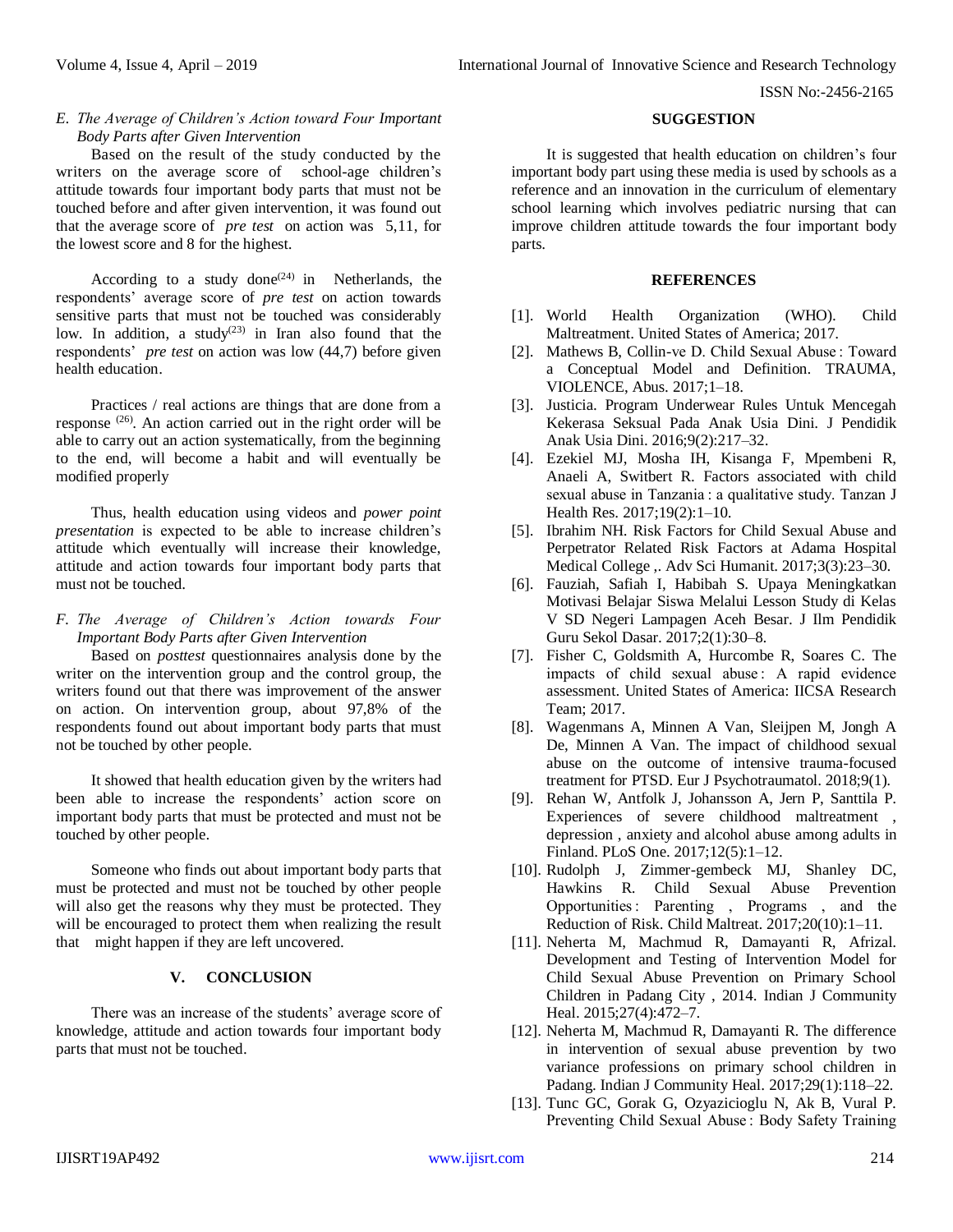# *E. The Average of Children's Action toward Four Important Body Parts after Given Intervention*

Based on the result of the study conducted by the writers on the average score of school-age children's attitude towards four important body parts that must not be touched before and after given intervention, it was found out that the average score of *pre test* on action was 5,11, for the lowest score and 8 for the highest.

According to a study done<sup>(24)</sup> in Netherlands, the respondents' average score of *pre test* on action towards sensitive parts that must not be touched was considerably low. In addition, a study<sup> $(23)$ </sup> in Iran also found that the respondents' *pre test* on action was low (44,7) before given health education.

Practices / real actions are things that are done from a response (26). An action carried out in the right order will be able to carry out an action systematically, from the beginning to the end, will become a habit and will eventually be modified properly

Thus, health education using videos and *power point presentation* is expected to be able to increase children's attitude which eventually will increase their knowledge, attitude and action towards four important body parts that must not be touched.

# *F. The Average of Children's Action towards Four Important Body Parts after Given Intervention*

Based on *posttest* questionnaires analysis done by the writer on the intervention group and the control group, the writers found out that there was improvement of the answer on action. On intervention group, about 97,8% of the respondents found out about important body parts that must not be touched by other people.

It showed that health education given by the writers had been able to increase the respondents' action score on important body parts that must be protected and must not be touched by other people.

Someone who finds out about important body parts that must be protected and must not be touched by other people will also get the reasons why they must be protected. They will be encouraged to protect them when realizing the result that might happen if they are left uncovered.

# **V. CONCLUSION**

There was an increase of the students' average score of knowledge, attitude and action towards four important body parts that must not be touched.

#### **SUGGESTION**

It is suggested that health education on children's four important body part using these media is used by schools as a reference and an innovation in the curriculum of elementary school learning which involves pediatric nursing that can improve children attitude towards the four important body parts.

#### **REFERENCES**

- [1]. World Health Organization (WHO). Child Maltreatment. United States of America; 2017.
- [2]. Mathews B, Collin-ve D. Child Sexual Abuse: Toward a Conceptual Model and Definition. TRAUMA, VIOLENCE, Abus. 2017;1–18.
- [3]. Justicia. Program Underwear Rules Untuk Mencegah Kekerasa Seksual Pada Anak Usia Dini. J Pendidik Anak Usia Dini. 2016;9(2):217–32.
- [4]. Ezekiel MJ, Mosha IH, Kisanga F, Mpembeni R, Anaeli A, Switbert R. Factors associated with child sexual abuse in Tanzania : a qualitative study. Tanzan J Health Res. 2017;19(2):1–10.
- [5]. Ibrahim NH. Risk Factors for Child Sexual Abuse and Perpetrator Related Risk Factors at Adama Hospital Medical College ,. Adv Sci Humanit. 2017;3(3):23–30.
- [6]. Fauziah, Safiah I, Habibah S. Upaya Meningkatkan Motivasi Belajar Siswa Melalui Lesson Study di Kelas V SD Negeri Lampagen Aceh Besar. J Ilm Pendidik Guru Sekol Dasar. 2017;2(1):30–8.
- [7]. Fisher C, Goldsmith A, Hurcombe R, Soares C. The impacts of child sexual abuse : A rapid evidence assessment. United States of America: IICSA Research Team; 2017.
- [8]. Wagenmans A, Minnen A Van, Sleijpen M, Jongh A De, Minnen A Van. The impact of childhood sexual abuse on the outcome of intensive trauma-focused treatment for PTSD. Eur J Psychotraumatol. 2018;9(1).
- [9]. Rehan W, Antfolk J, Johansson A, Jern P, Santtila P. Experiences of severe childhood maltreatment , depression , anxiety and alcohol abuse among adults in Finland. PLoS One. 2017;12(5):1–12.
- [10]. Rudolph J, Zimmer-gembeck MJ, Shanley DC, Hawkins R. Child Sexual Abuse Prevention Opportunities : Parenting , Programs , and the Reduction of Risk. Child Maltreat. 2017;20(10):1–11.
- [11]. Neherta M, Machmud R, Damayanti R, Afrizal. Development and Testing of Intervention Model for Child Sexual Abuse Prevention on Primary School Children in Padang City , 2014. Indian J Community Heal. 2015;27(4):472–7.
- [12]. Neherta M, Machmud R, Damayanti R. The difference in intervention of sexual abuse prevention by two variance professions on primary school children in Padang. Indian J Community Heal. 2017;29(1):118–22.
- [13]. Tunc GC, Gorak G, Ozyazicioglu N, Ak B, Vural P. Preventing Child Sexual Abuse : Body Safety Training